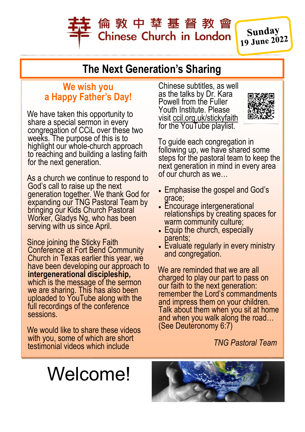# 倫 敦 中 華 基 督 教 會 **Chinese Church in London**

Sunday 19 June 2022

## **The Next Generation's Sharing**

#### **We wish you a Happy Father's Day!**

We have taken this opportunity to share a special sermon in every congregation of CCiL over these two weeks. The purpose of this is to highlight our whole-church approach to reaching and building a lasting faith for the next generation.

As a church we continue to respond to God's call to raise up the next generation together. We thank God for expanding our TNG Pastoral Team by bringing our Kids Church Pastoral Worker, Gladys Ng, who has been serving with us since April.

Since joining the Sticky Faith Conference at Fort Bend Community Church in Texas earlier this year, we have been developing our approach to **intergenerational discipleship,**  which is the message of the sermon we are sharing. This has also been uploaded to YouTube along with the full recordings of the conference sessions.

We would like to share these videos with you, some of which are short testimonial videos which include

Chinese subtitles, as well as the talks by Dr. Kara Powell from the Fuller Youth Institute. Please visit [ccil.org.uk/stickyfaith](http://ccil.org.uk/stickyfaith) for the YouTube playlist.



To guide each congregation in following up, we have shared some steps for the pastoral team to keep the next generation in mind in every area of our church as we…

- Emphasise the gospel and God's grace;
- Encourage intergenerational relationships by creating spaces for warm community culture;
- Equip the church, especially parents;
- Evaluate regularly in every ministry and congregation.

We are reminded that we are all charged to play our part to pass on our faith to the next generation: remember the Lord's commandments and impress them on your children. Talk about them when you sit at home and when you walk along the road… (See Deuteronomy 6:7)

 *TNG Pastoral Team*

# Welcome!

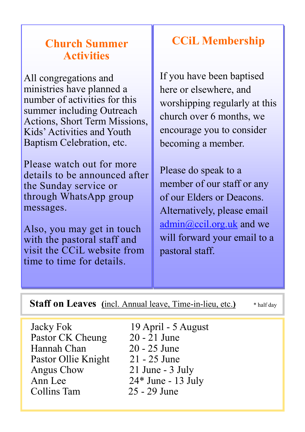### **Church Summer Activities**

All congregations and ministries have planned a number of activities for this summer including Outreach Actions, Short Term Missions, Kids' Activities and Youth Baptism Celebration, etc.

Please watch out for more details to be announced after the Sunday service or through WhatsApp group messages.

Also, you may get in touch with the pastoral staff and visit the CCiL website from time to time for details.

# **CCiL Membership**

If you have been baptised here or elsewhere, and worshipping regularly at this church over 6 months, we encourage you to consider becoming a member.

Please do speak to a member of our staff or any of our Elders or Deacons. Alternatively, please email admin@ccil.org.uk and we will forward your email to a pastoral staff.

| <b>Staff on Leaves</b> (incl. Annual leave, Time-in-lieu, etc.) | * half day |
|-----------------------------------------------------------------|------------|
|                                                                 |            |

Jacky Fok 19 April - 5 August Pastor CK Cheung 20 - 21 June<br>Hannah Chan 20 - 25 June Hannah Chan Pastor Ollie Knight 21 - 25 June Angus Chow 21 June - 3 July Ann Lee 24\* June - 13 July Collins Tam 25 - 29 June